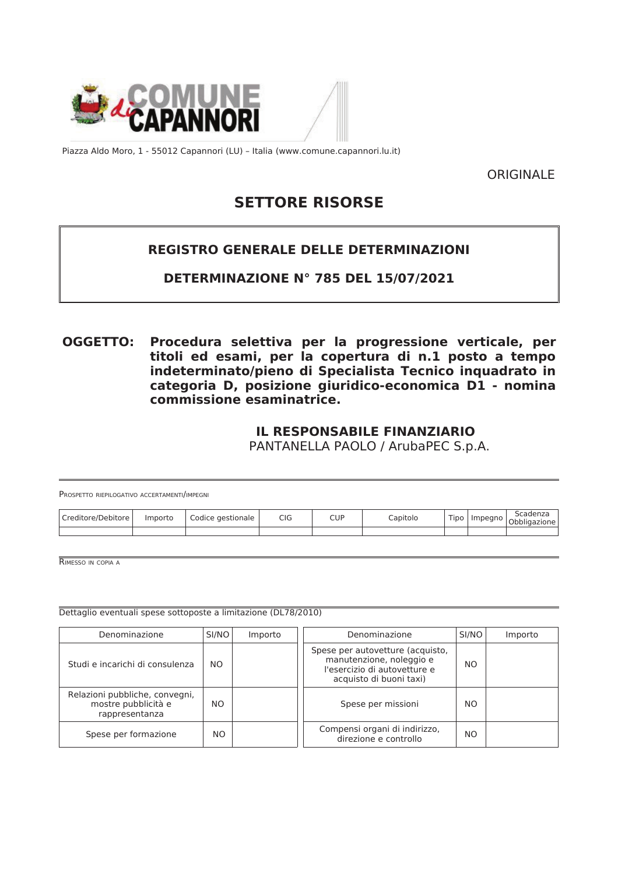



Piazza Aldo Moro, 1 - 55012 Capannori (LU) - Italia (www.comune.capannori.lu.it)

ORIGINALE

# **SETTORE RISORSE**

# **REGISTRO GENERALE DELLE DETERMINAZIONI**

# DETERMINAZIONE Nº 785 DEL 15/07/2021

**OGGETTO:** Procedura selettiva per la progressione verticale, per titoli ed esami, per la copertura di n.1 posto a tempo indeterminato/pieno di Specialista Tecnico inquadrato in categoria D, posizione giuridico-economica D1 - nomina commissione esaminatrice.

# **IL RESPONSABILE FINANZIARIO**

PANTANELLA PAOLO / ArubaPEC S.p.A.

| PROSPETTO RIEPILOGATIVO ACCERTAMENTI/IMPEGNI |         |                   |            |     |          |  |  |                       |
|----------------------------------------------|---------|-------------------|------------|-----|----------|--|--|-----------------------|
| Creditore/Debitore                           | Importo | Codice gestionale | <b>CIG</b> | CUP | Capitolo |  |  | Tipo Impegno Scadenza |
|                                              |         |                   |            |     |          |  |  |                       |

RIMESSO IN COPIA A

Dettaglio eventuali spese sottoposte a limitazione (DL78/2010)

| Denominazione                                                           | SI/NO | Importo | Denominazione                                                                                                           | SI/NO          | Importo |
|-------------------------------------------------------------------------|-------|---------|-------------------------------------------------------------------------------------------------------------------------|----------------|---------|
| Studi e incarichi di consulenza                                         | NO.   |         | Spese per autovetture (acquisto,<br>manutenzione, noleggio e<br>l'esercizio di autovetture e<br>acquisto di buoni taxi) | N <sub>O</sub> |         |
| Relazioni pubbliche, convegni,<br>mostre pubblicità e<br>rappresentanza | NO.   |         | Spese per missioni                                                                                                      | NO.            |         |
| Spese per formazione                                                    | NO.   |         | Compensi organi di indirizzo,<br>direzione e controllo                                                                  | NO.            |         |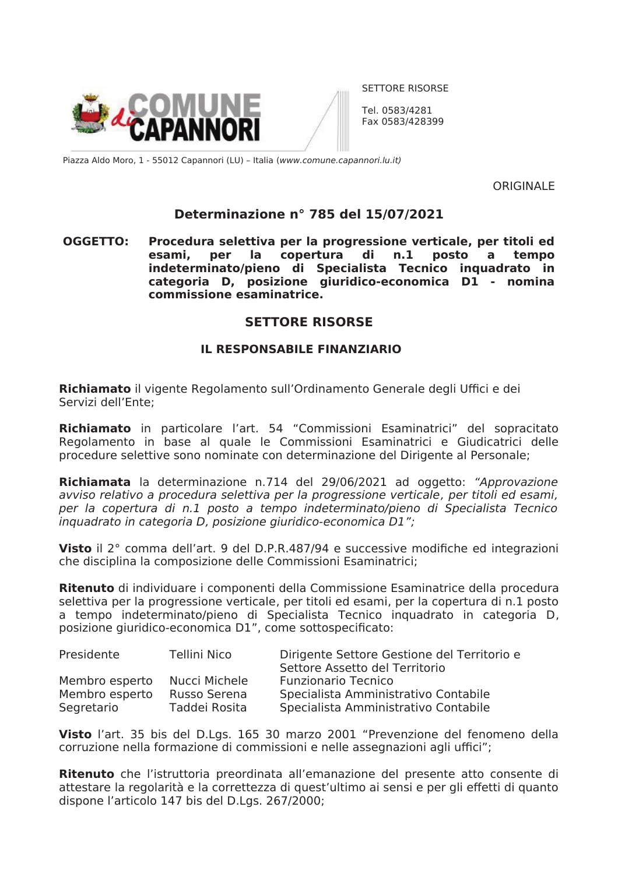

SETTORE RISORSE

Tel. 0583/4281 Fax 0583/428399

Piazza Aldo Moro, 1 - 55012 Capannori (LU) - Italia (www.comune.capannori.lu.it)

**ORIGINALE** 

## Determinazione nº 785 del 15/07/2021

**OGGETTO:** Procedura selettiva per la progressione verticale, per titoli ed copertura di per la  $n.1$ posto esami.  $\mathbf{a}$ tempo indeterminato/pieno di Specialista Tecnico inquadrato in categoria D, posizione giuridico-economica D1 - nomina commissione esaminatrice.

### **SETTORE RISORSE**

#### **IL RESPONSABILE FINANZIARIO**

Richiamato il vigente Regolamento sull'Ordinamento Generale degli Uffici e dei Servizi dell'Ente:

Richiamato in particolare l'art. 54 "Commissioni Esaminatrici" del sopracitato Regolamento in base al quale le Commissioni Esaminatrici e Giudicatrici delle procedure selettive sono nominate con determinazione del Dirigente al Personale:

Richiamata la determinazione n.714 del 29/06/2021 ad oggetto: "Approvazione avviso relativo a procedura selettiva per la progressione verticale, per titoli ed esami, per la copertura di n.1 posto a tempo indeterminato/pieno di Specialista Tecnico inquadrato in categoria D, posizione giuridico-economica D1";

Visto il 2° comma dell'art. 9 del D.P.R.487/94 e successive modifiche ed integrazioni che disciplina la composizione delle Commissioni Esaminatrici;

**Ritenuto** di individuare i componenti della Commissione Esaminatrice della procedura selettiva per la progressione verticale, per titoli ed esami, per la copertura di n.1 posto a tempo indeterminato/pieno di Specialista Tecnico inguadrato in categoria D, posizione giuridico-economica D1", come sottospecificato:

| Presidente                                     | Tellini Nico                                   | Dirigente Settore Gestione del Territorio e<br>Settore Assetto del Territorio                              |
|------------------------------------------------|------------------------------------------------|------------------------------------------------------------------------------------------------------------|
| Membro esperto<br>Membro esperto<br>Segretario | Nucci Michele<br>Russo Serena<br>Taddei Rosita | <b>Funzionario Tecnico</b><br>Specialista Amministrativo Contabile<br>Specialista Amministrativo Contabile |
|                                                |                                                |                                                                                                            |

Visto l'art. 35 bis del D.Lgs. 165 30 marzo 2001 "Prevenzione del fenomeno della corruzione nella formazione di commissioni e nelle assegnazioni agli uffici";

Ritenuto che l'istruttoria preordinata all'emanazione del presente atto consente di attestare la regolarità e la correttezza di quest'ultimo ai sensi e per gli effetti di quanto dispone l'articolo 147 bis del D.Lgs. 267/2000;